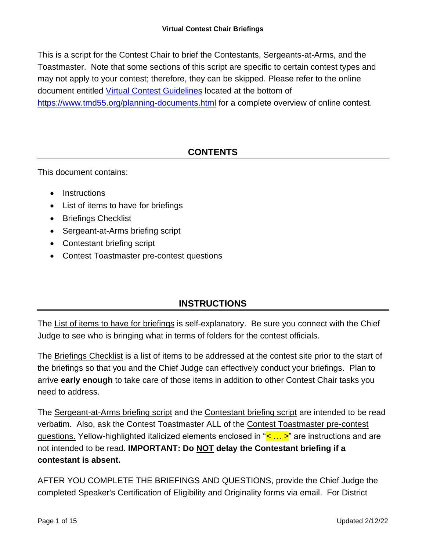This is a script for the Contest Chair to brief the Contestants, Sergeants-at-Arms, and the Toastmaster. Note that some sections of this script are specific to certain contest types and may not apply to your contest; therefore, they can be skipped. Please refer to the online document entitled [Virtual Contest Guidelines](https://www.tmd55.org/uploads/1/1/9/0/119044349/2021_virtual_contest_guidelines_updated_for_2021.pdf) located at the bottom of <https://www.tmd55.org/planning-documents.html> for a complete overview of online contest.

# **CONTENTS**

This document contains:

- Instructions
- List of items to have for briefings
- Briefings Checklist
- Sergeant-at-Arms briefing script
- Contestant briefing script
- Contest Toastmaster pre-contest questions

# **INSTRUCTIONS**

The List of items to have for briefings is self-explanatory. Be sure you connect with the Chief Judge to see who is bringing what in terms of folders for the contest officials.

The Briefings Checklist is a list of items to be addressed at the contest site prior to the start of the briefings so that you and the Chief Judge can effectively conduct your briefings. Plan to arrive **early enough** to take care of those items in addition to other Contest Chair tasks you need to address.

The Sergeant-at-Arms briefing script and the Contestant briefing script are intended to be read verbatim. Also, ask the Contest Toastmaster ALL of the Contest Toastmaster pre-contest questions. Yellow-highlighted italicized elements enclosed in "*< … >*" are instructions and are not intended to be read. **IMPORTANT: Do NOT delay the Contestant briefing if a contestant is absent.**

AFTER YOU COMPLETE THE BRIEFINGS AND QUESTIONS, provide the Chief Judge the completed Speaker's Certification of Eligibility and Originality forms via email. For District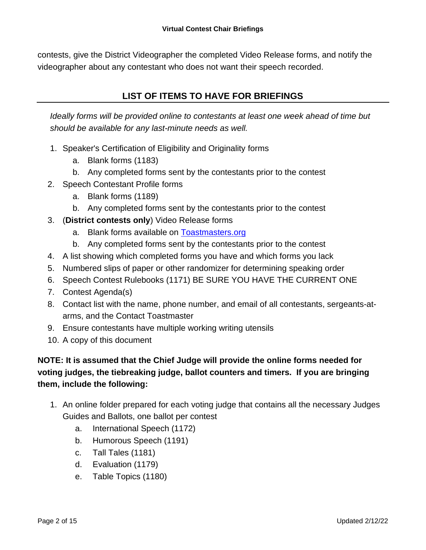contests, give the District Videographer the completed Video Release forms, and notify the videographer about any contestant who does not want their speech recorded.

# **LIST OF ITEMS TO HAVE FOR BRIEFINGS**

*Ideally forms will be provided online to contestants at least one week ahead of time but should be available for any last-minute needs as well.*

- 1. Speaker's Certification of Eligibility and Originality forms
	- a. Blank forms (1183)
	- b. Any completed forms sent by the contestants prior to the contest
- 2. Speech Contestant Profile forms
	- a. Blank forms (1189)
	- b. Any completed forms sent by the contestants prior to the contest
- 3. (**District contests only**) Video Release forms
	- a. Blank forms available on [Toastmasters.org](http://www.toastmasters.org/Resources/Photo-Release-Form)
	- b. Any completed forms sent by the contestants prior to the contest
- 4. A list showing which completed forms you have and which forms you lack
- 5. Numbered slips of paper or other randomizer for determining speaking order
- 6. Speech Contest Rulebooks (1171) BE SURE YOU HAVE THE CURRENT ONE
- 7. Contest Agenda(s)
- 8. Contact list with the name, phone number, and email of all contestants, sergeants-atarms, and the Contact Toastmaster
- 9. Ensure contestants have multiple working writing utensils
- 10. A copy of this document

# **NOTE: It is assumed that the Chief Judge will provide the online forms needed for voting judges, the tiebreaking judge, ballot counters and timers. If you are bringing them, include the following:**

- 1. An online folder prepared for each voting judge that contains all the necessary Judges Guides and Ballots, one ballot per contest
	- a. International Speech (1172)
	- b. Humorous Speech (1191)
	- c. Tall Tales (1181)
	- d. Evaluation (1179)
	- e. Table Topics (1180)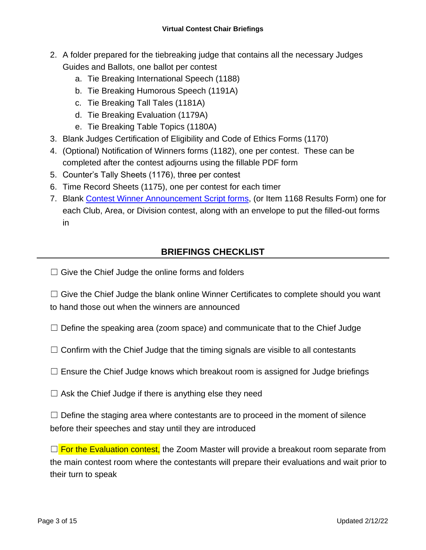- 2. A folder prepared for the tiebreaking judge that contains all the necessary Judges Guides and Ballots, one ballot per contest
	- a. Tie Breaking International Speech (1188)
	- b. Tie Breaking Humorous Speech (1191A)
	- c. Tie Breaking Tall Tales (1181A)
	- d. Tie Breaking Evaluation (1179A)
	- e. Tie Breaking Table Topics (1180A)
- 3. Blank Judges Certification of Eligibility and Code of Ethics Forms (1170)
- 4. (Optional) Notification of Winners forms (1182), one per contest. These can be completed after the contest adjourns using the fillable PDF form
- 5. Counter's Tally Sheets (1176), three per contest
- 6. Time Record Sheets (1175), one per contest for each timer
- 7. Blank [Contest Winner Announcement Script forms,](http://www.tmd55.org/scripts.html) (or Item 1168 Results Form) one for each Club, Area, or Division contest, along with an envelope to put the filled-out forms in

# **BRIEFINGS CHECKLIST**

 $\Box$  Give the Chief Judge the online forms and folders

 $\Box$  Give the Chief Judge the blank online Winner Certificates to complete should you want to hand those out when the winners are announced

- $\Box$  Define the speaking area (zoom space) and communicate that to the Chief Judge
- $\Box$  Confirm with the Chief Judge that the timing signals are visible to all contestants
- $\Box$  Ensure the Chief Judge knows which breakout room is assigned for Judge briefings
- $\Box$  Ask the Chief Judge if there is anything else they need

 $\Box$  Define the staging area where contestants are to proceed in the moment of silence before their speeches and stay until they are introduced

 $\Box$  For the Evaluation contest, the Zoom Master will provide a breakout room separate from the main contest room where the contestants will prepare their evaluations and wait prior to their turn to speak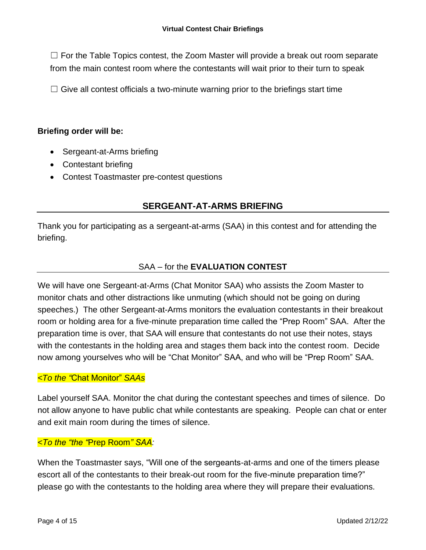$\Box$  For the Table Topics contest, the Zoom Master will provide a break out room separate from the main contest room where the contestants will wait prior to their turn to speak

 $\Box$  Give all contest officials a two-minute warning prior to the briefings start time

### **Briefing order will be:**

- Sergeant-at-Arms briefing
- Contestant briefing
- Contest Toastmaster pre-contest questions

# **SERGEANT-AT-ARMS BRIEFING**

Thank you for participating as a sergeant-at-arms (SAA) in this contest and for attending the briefing.

### SAA – for the **EVALUATION CONTEST**

We will have one Sergeant-at-Arms (Chat Monitor SAA) who assists the Zoom Master to monitor chats and other distractions like unmuting (which should not be going on during speeches.) The other Sergeant-at-Arms monitors the evaluation contestants in their breakout room or holding area for a five-minute preparation time called the "Prep Room" SAA. After the preparation time is over, that SAA will ensure that contestants do not use their notes, stays with the contestants in the holding area and stages them back into the contest room. Decide now among yourselves who will be "Chat Monitor" SAA, and who will be "Prep Room" SAA.

### *<To the "*Chat Monitor" *SAAs*

Label yourself SAA. Monitor the chat during the contestant speeches and times of silence. Do not allow anyone to have public chat while contestants are speaking. People can chat or enter and exit main room during the times of silence.

### *<To the "the "*Prep Room*" SAA:*

When the Toastmaster says, "Will one of the sergeants-at-arms and one of the timers please escort all of the contestants to their break-out room for the five-minute preparation time?" please go with the contestants to the holding area where they will prepare their evaluations.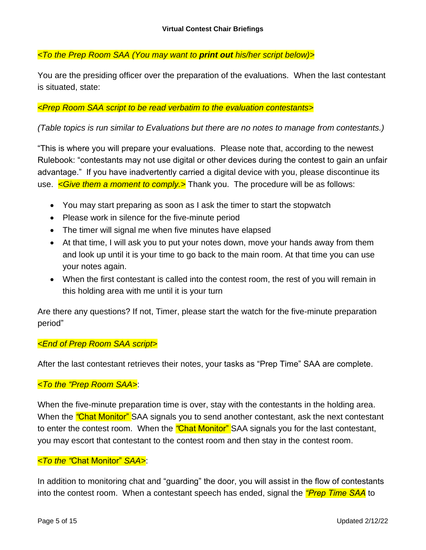*<To the Prep Room SAA (You may want to print out his/her script below)>*

You are the presiding officer over the preparation of the evaluations. When the last contestant is situated, state:

### *<Prep Room SAA script to be read verbatim to the evaluation contestants>*

### *(Table topics is run similar to Evaluations but there are no notes to manage from contestants.)*

"This is where you will prepare your evaluations. Please note that, according to the newest Rulebook: "contestants may not use digital or other devices during the contest to gain an unfair advantage." If you have inadvertently carried a digital device with you, please discontinue its use. *<Give them a moment to comply.>* Thank you. The procedure will be as follows:

- You may start preparing as soon as I ask the timer to start the stopwatch
- Please work in silence for the five-minute period
- The timer will signal me when five minutes have elapsed
- At that time, I will ask you to put your notes down, move your hands away from them and look up until it is your time to go back to the main room. At that time you can use your notes again.
- When the first contestant is called into the contest room, the rest of you will remain in this holding area with me until it is your turn

Are there any questions? If not, Timer, please start the watch for the five-minute preparation period"

#### *<End of Prep Room SAA script>*

After the last contestant retrieves their notes, your tasks as "Prep Time" SAA are complete.

### *<To the "Prep Room SAA>*:

When the five-minute preparation time is over, stay with the contestants in the holding area. When the *"*Chat Monitor" SAA signals you to send another contestant, ask the next contestant to enter the contest room. When the *"*Chat Monitor" SAA signals you for the last contestant, you may escort that contestant to the contest room and then stay in the contest room.

#### *<To the "*Chat Monitor" *SAA>*:

In addition to monitoring chat and "guarding" the door, you will assist in the flow of contestants into the contest room. When a contestant speech has ended, signal the *"Prep Time SAA* to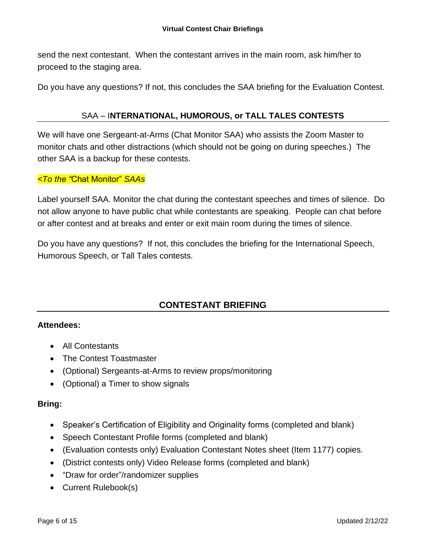send the next contestant. When the contestant arrives in the main room, ask him/her to proceed to the staging area.

Do you have any questions? If not, this concludes the SAA briefing for the Evaluation Contest.

### SAA – I**NTERNATIONAL, HUMOROUS, or TALL TALES CONTESTS**

We will have one Sergeant-at-Arms (Chat Monitor SAA) who assists the Zoom Master to monitor chats and other distractions (which should not be going on during speeches.) The other SAA is a backup for these contests.

### *<To the "*Chat Monitor" *SAAs*

Label yourself SAA. Monitor the chat during the contestant speeches and times of silence. Do not allow anyone to have public chat while contestants are speaking. People can chat before or after contest and at breaks and enter or exit main room during the times of silence.

Do you have any questions? If not, this concludes the briefing for the International Speech, Humorous Speech, or Tall Tales contests.

# **CONTESTANT BRIEFING**

### **Attendees:**

- All Contestants
- The Contest Toastmaster
- (Optional) Sergeants-at-Arms to review props/monitoring
- (Optional) a Timer to show signals

### **Bring:**

- Speaker's Certification of Eligibility and Originality forms (completed and blank)
- Speech Contestant Profile forms (completed and blank)
- (Evaluation contests only) Evaluation Contestant Notes sheet (Item 1177) copies.
- (District contests only) Video Release forms (completed and blank)
- "Draw for order"/randomizer supplies
- Current Rulebook(s)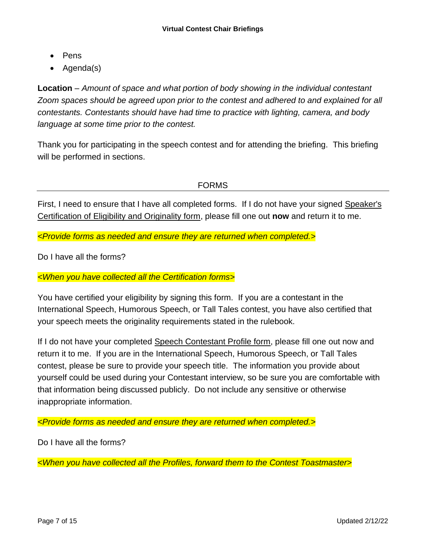- Pens
- Agenda(s)

**Location** – *Amount of space and what portion of body showing in the individual contestant Zoom spaces should be agreed upon prior to the contest and adhered to and explained for all contestants. Contestants should have had time to practice with lighting, camera, and body language at some time prior to the contest.*

Thank you for participating in the speech contest and for attending the briefing. This briefing will be performed in sections.

FORMS

First, I need to ensure that I have all completed forms. If I do not have your signed Speaker's Certification of Eligibility and Originality form, please fill one out **now** and return it to me.

*<Provide forms as needed and ensure they are returned when completed.>*

Do I have all the forms?

*<When you have collected all the Certification forms>*

You have certified your eligibility by signing this form. If you are a contestant in the International Speech, Humorous Speech, or Tall Tales contest, you have also certified that your speech meets the originality requirements stated in the rulebook.

If I do not have your completed Speech Contestant Profile form, please fill one out now and return it to me. If you are in the International Speech, Humorous Speech, or Tall Tales contest, please be sure to provide your speech title. The information you provide about yourself could be used during your Contestant interview, so be sure you are comfortable with that information being discussed publicly. Do not include any sensitive or otherwise inappropriate information.

*<Provide forms as needed and ensure they are returned when completed.>*

Do I have all the forms?

*<When you have collected all the Profiles, forward them to the Contest Toastmaster>*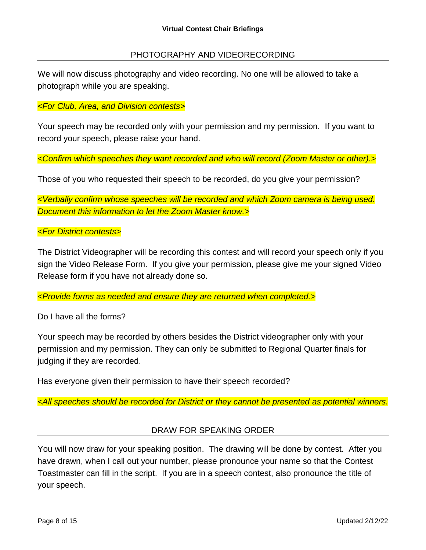### PHOTOGRAPHY AND VIDEORECORDING

We will now discuss photography and video recording. No one will be allowed to take a photograph while you are speaking.

#### *<For Club, Area, and Division contests>*

Your speech may be recorded only with your permission and my permission. If you want to record your speech, please raise your hand.

*<Confirm which speeches they want recorded and who will record (Zoom Master or other).>*

Those of you who requested their speech to be recorded, do you give your permission?

*<Verbally confirm whose speeches will be recorded and which Zoom camera is being used. Document this information to let the Zoom Master know.>*

#### *<For District contests>*

The District Videographer will be recording this contest and will record your speech only if you sign the Video Release Form. If you give your permission, please give me your signed Video Release form if you have not already done so.

*<Provide forms as needed and ensure they are returned when completed.>*

Do I have all the forms?

Your speech may be recorded by others besides the District videographer only with your permission and my permission. They can only be submitted to Regional Quarter finals for judging if they are recorded.

Has everyone given their permission to have their speech recorded?

*<All speeches should be recorded for District or they cannot be presented as potential winners.*

### DRAW FOR SPEAKING ORDER

You will now draw for your speaking position. The drawing will be done by contest. After you have drawn, when I call out your number, please pronounce your name so that the Contest Toastmaster can fill in the script. If you are in a speech contest, also pronounce the title of your speech.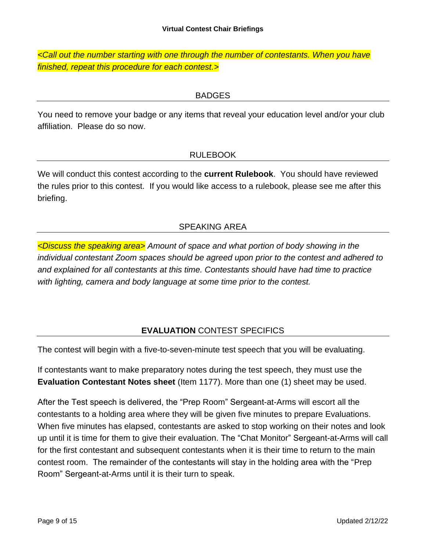*<Call out the number starting with one through the number of contestants. When you have finished, repeat this procedure for each contest.>*

# **BADGES**

You need to remove your badge or any items that reveal your education level and/or your club affiliation. Please do so now.

# RULEBOOK

We will conduct this contest according to the **current Rulebook**. You should have reviewed the rules prior to this contest. If you would like access to a rulebook, please see me after this briefing.

# SPEAKING AREA

*<Discuss the speaking area> Amount of space and what portion of body showing in the individual contestant Zoom spaces should be agreed upon prior to the contest and adhered to and explained for all contestants at this time. Contestants should have had time to practice with lighting, camera and body language at some time prior to the contest.* 

# **EVALUATION** CONTEST SPECIFICS

The contest will begin with a five-to-seven-minute test speech that you will be evaluating.

If contestants want to make preparatory notes during the test speech, they must use the **Evaluation Contestant Notes sheet** (Item 1177). More than one (1) sheet may be used.

After the Test speech is delivered, the "Prep Room" Sergeant-at-Arms will escort all the contestants to a holding area where they will be given five minutes to prepare Evaluations. When five minutes has elapsed, contestants are asked to stop working on their notes and look up until it is time for them to give their evaluation. The "Chat Monitor" Sergeant-at-Arms will call for the first contestant and subsequent contestants when it is their time to return to the main contest room. The remainder of the contestants will stay in the holding area with the "Prep Room" Sergeant-at-Arms until it is their turn to speak.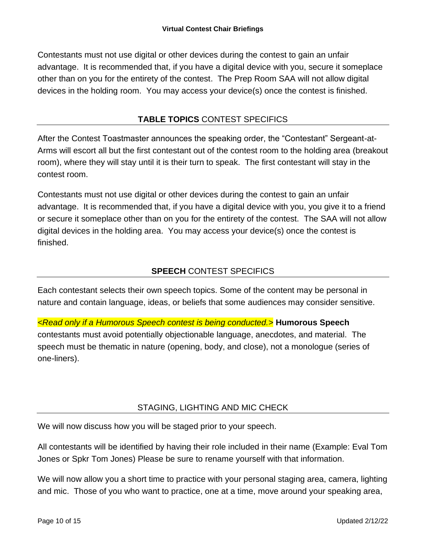Contestants must not use digital or other devices during the contest to gain an unfair advantage. It is recommended that, if you have a digital device with you, secure it someplace other than on you for the entirety of the contest. The Prep Room SAA will not allow digital devices in the holding room. You may access your device(s) once the contest is finished.

## **TABLE TOPICS** CONTEST SPECIFICS

After the Contest Toastmaster announces the speaking order, the "Contestant" Sergeant-at-Arms will escort all but the first contestant out of the contest room to the holding area (breakout room), where they will stay until it is their turn to speak. The first contestant will stay in the contest room.

Contestants must not use digital or other devices during the contest to gain an unfair advantage. It is recommended that, if you have a digital device with you, you give it to a friend or secure it someplace other than on you for the entirety of the contest. The SAA will not allow digital devices in the holding area. You may access your device(s) once the contest is finished.

# **SPEECH** CONTEST SPECIFICS

Each contestant selects their own speech topics. Some of the content may be personal in nature and contain language, ideas, or beliefs that some audiences may consider sensitive.

*<Read only if a Humorous Speech contest is being conducted.>* **Humorous Speech** contestants must avoid potentially objectionable language, anecdotes, and material. The speech must be thematic in nature (opening, body, and close), not a monologue (series of one-liners).

# STAGING, LIGHTING AND MIC CHECK

We will now discuss how you will be staged prior to your speech.

All contestants will be identified by having their role included in their name (Example: Eval Tom Jones or Spkr Tom Jones) Please be sure to rename yourself with that information.

We will now allow you a short time to practice with your personal staging area, camera, lighting and mic. Those of you who want to practice, one at a time, move around your speaking area,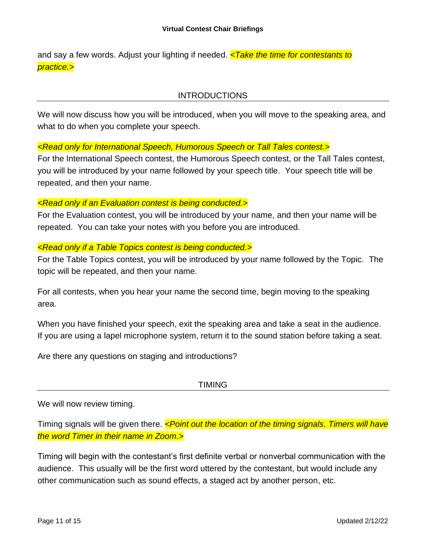and say a few words. Adjust your lighting if needed. *<Take the time for contestants to practice.>*

## INTRODUCTIONS

We will now discuss how you will be introduced, when you will move to the speaking area, and what to do when you complete your speech.

## *<Read only for International Speech, Humorous Speech or Tall Tales contest.>*

For the International Speech contest, the Humorous Speech contest, or the Tall Tales contest, you will be introduced by your name followed by your speech title. Your speech title will be repeated, and then your name.

### *<Read only if an Evaluation contest is being conducted.>*

For the Evaluation contest, you will be introduced by your name, and then your name will be repeated. You can take your notes with you before you are introduced.

### *<Read only if a Table Topics contest is being conducted.>*

For the Table Topics contest, you will be introduced by your name followed by the Topic. The topic will be repeated, and then your name.

For all contests, when you hear your name the second time, begin moving to the speaking area.

When you have finished your speech, exit the speaking area and take a seat in the audience. If you are using a lapel microphone system, return it to the sound station before taking a seat.

Are there any questions on staging and introductions?

## TIMING

We will now review timing.

Timing signals will be given there. *<Point out the location of the timing signals. Timers will have the word Timer in their name in Zoom.>*

Timing will begin with the contestant's first definite verbal or nonverbal communication with the audience. This usually will be the first word uttered by the contestant, but would include any other communication such as sound effects, a staged act by another person, etc.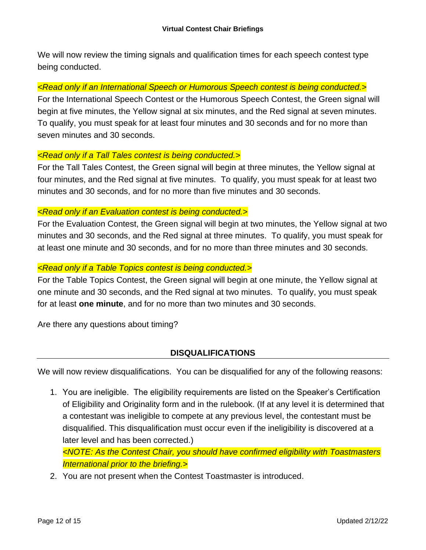We will now review the timing signals and qualification times for each speech contest type being conducted.

### *<Read only if an International Speech or Humorous Speech contest is being conducted.>*

For the International Speech Contest or the Humorous Speech Contest, the Green signal will begin at five minutes, the Yellow signal at six minutes, and the Red signal at seven minutes. To qualify, you must speak for at least four minutes and 30 seconds and for no more than seven minutes and 30 seconds.

### *<Read only if a Tall Tales contest is being conducted.>*

For the Tall Tales Contest, the Green signal will begin at three minutes, the Yellow signal at four minutes, and the Red signal at five minutes. To qualify, you must speak for at least two minutes and 30 seconds, and for no more than five minutes and 30 seconds.

### *<Read only if an Evaluation contest is being conducted.>*

For the Evaluation Contest, the Green signal will begin at two minutes, the Yellow signal at two minutes and 30 seconds, and the Red signal at three minutes. To qualify, you must speak for at least one minute and 30 seconds, and for no more than three minutes and 30 seconds.

### *<Read only if a Table Topics contest is being conducted.>*

For the Table Topics Contest, the Green signal will begin at one minute, the Yellow signal at one minute and 30 seconds, and the Red signal at two minutes. To qualify, you must speak for at least **one minute**, and for no more than two minutes and 30 seconds.

Are there any questions about timing?

## **DISQUALIFICATIONS**

We will now review disqualifications. You can be disqualified for any of the following reasons:

1. You are ineligible. The eligibility requirements are listed on the Speaker's Certification of Eligibility and Originality form and in the rulebook. (If at any level it is determined that a contestant was ineligible to compete at any previous level, the contestant must be disqualified. This disqualification must occur even if the ineligibility is discovered at a later level and has been corrected.)

*<NOTE: As the Contest Chair, you should have confirmed eligibility with Toastmasters International prior to the briefing.>*

2. You are not present when the Contest Toastmaster is introduced.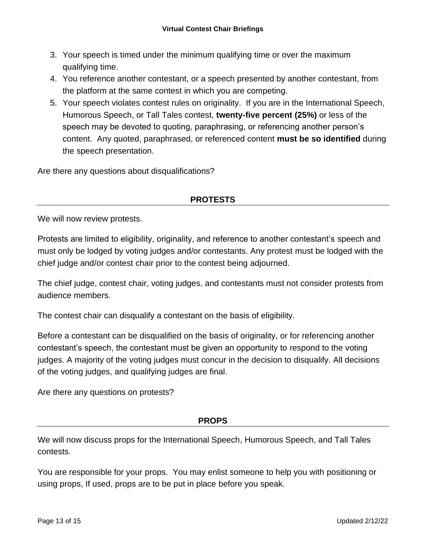- 3. Your speech is timed under the minimum qualifying time or over the maximum qualifying time.
- 4. You reference another contestant, or a speech presented by another contestant, from the platform at the same contest in which you are competing.
- 5. Your speech violates contest rules on originality. If you are in the International Speech, Humorous Speech, or Tall Tales contest, **twenty-five percent (25%)** or less of the speech may be devoted to quoting, paraphrasing, or referencing another person's content. Any quoted, paraphrased, or referenced content **must be so identified** during the speech presentation.

Are there any questions about disqualifications?

### **PROTESTS**

We will now review protests.

Protests are limited to eligibility, originality, and reference to another contestant's speech and must only be lodged by voting judges and/or contestants. Any protest must be lodged with the chief judge and/or contest chair prior to the contest being adjourned.

The chief judge, contest chair, voting judges, and contestants must not consider protests from audience members.

The contest chair can disqualify a contestant on the basis of eligibility.

Before a contestant can be disqualified on the basis of originality, or for referencing another contestant's speech, the contestant must be given an opportunity to respond to the voting judges. A majority of the voting judges must concur in the decision to disqualify. All decisions of the voting judges, and qualifying judges are final.

Are there any questions on protests?

### **PROPS**

We will now discuss props for the International Speech, Humorous Speech, and Tall Tales contests.

You are responsible for your props. You may enlist someone to help you with positioning or using props, If used, props are to be put in place before you speak.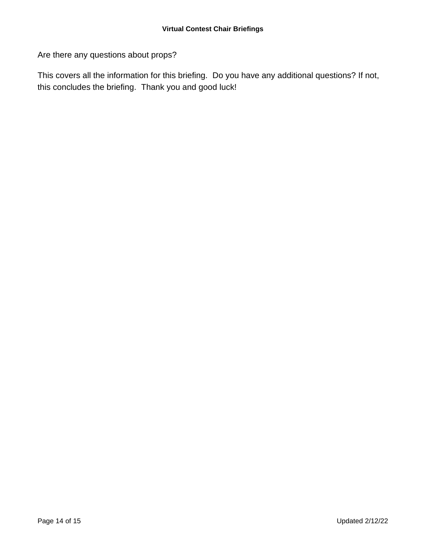Are there any questions about props?

This covers all the information for this briefing. Do you have any additional questions? If not, this concludes the briefing. Thank you and good luck!